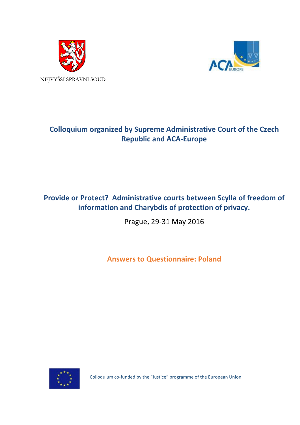



# **Colloquium organized by Supreme Administrative Court of the Czech Republic and ACA-Europe**

# **Provide or Protect? Administrative courts between Scylla of freedom of information and Charybdis of protection of privacy.**

Prague, 29-31 May 2016

**Answers to Questionnaire: Poland**



Colloquium co-funded by the "Justice" programme of the European Union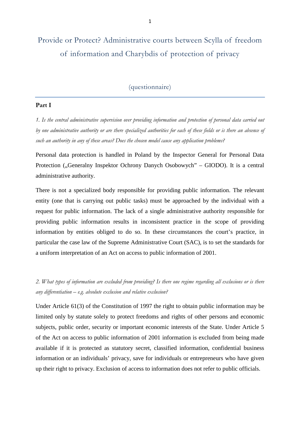# Provide or Protect? Administrative courts between Scylla of freedom of information and Charybdis of protection of privacy

### (questionnaire)

#### **Part I**

*1. Is the central administrative supervision over providing information and protection of personal data carried out by one administrative authority or are there specialized authorities for each of these fields or is there an absence of such an authority in any of these areas? Does the chosen model cause any application problems?*

Personal data protection is handled in Poland by the Inspector General for Personal Data Protection ("Generalny Inspektor Ochrony Danych Osobowych" – GIODO). It is a central administrative authority.

There is not a specialized body responsible for providing public information. The relevant entity (one that is carrying out public tasks) must be approached by the individual with a request for public information. The lack of a single administrative authority responsible for providing public information results in inconsistent practice in the scope of providing information by entities obliged to do so. In these circumstances the court's practice, in particular the case law of the Supreme Administrative Court (SAC), is to set the standards for a uniform interpretation of an Act on access to public information of 2001.

*2. What types of information are excluded from providing? Is there one regime regarding all exclusions or is there any differentiation – e.g. absolute exclusion and relative exclusion?*

Under Article 61(3) of the Constitution of 1997 the right to obtain public information may be limited only by statute solely to protect freedoms and rights of other persons and economic subjects, public order, security or important economic interests of the State. Under Article 5 of the Act on access to public information of 2001 information is excluded from being made available if it is protected as statutory secret, classified information, confidential business information or an individuals' privacy, save for individuals or entrepreneurs who have given up their right to privacy. Exclusion of access to information does not refer to public officials.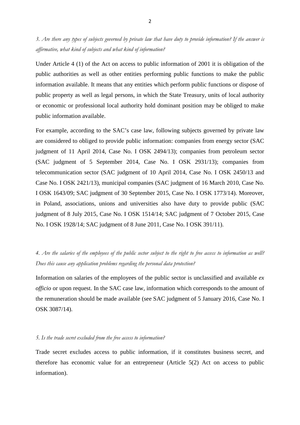*3. Are there any types of subjects governed by private law that have duty to provide information? If the answer is affirmative, what kind of subjects and what kind of information?* 

Under Article 4 (1) of the Act on access to public information of 2001 it is obligation of the public authorities as well as other entities performing public functions to make the public information available. It means that any entities which perform public functions or dispose of public property as well as legal persons, in which the State Treasury, units of local authority or economic or professional local authority hold dominant position may be obliged to make public information available.

For example, according to the SAC's case law, following subjects governed by private law are considered to obliged to provide public information: companies from energy sector (SAC judgment of 11 April 2014, Case No. I OSK 2494/13); companies from petroleum sector (SAC judgment of 5 September 2014, Case No. I OSK 2931/13); companies from telecommunication sector (SAC judgment of 10 April 2014, Case No. I OSK 2450/13 and Case No. I OSK 2421/13), municipal companies (SAC judgment of 16 March 2010, Case No. I OSK 1643/09; SAC judgment of 30 September 2015, Case No. I OSK 1773/14). Moreover, in Poland, associations, unions and universities also have duty to provide public (SAC judgment of 8 July 2015, Case No. I OSK 1514/14; SAC judgment of 7 October 2015, Case No. I OSK 1928/14; SAC judgment of 8 June 2011, Case No. I OSK 391/11).

## *4. Are the salaries of the employees of the public sector subject to the right to free access to information as well? Does this cause any application problems regarding the personal data protection?*

Information on salaries of the employees of the public sector is unclassified and available *ex officio* or upon request. In the SAC case law, information which corresponds to the amount of the remuneration should be made available (see SAC judgment of 5 January 2016, Case No. I OSK 3087/14).

#### *5. Is the trade secret excluded from the free access to information?*

Trade secret excludes access to public information, if it constitutes business secret, and therefore has economic value for an entrepreneur (Article 5(2) Act on access to public information).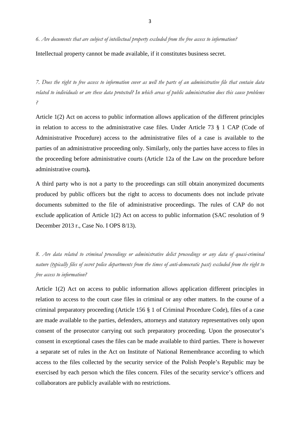*6. Are documents that are subject of intellectual property excluded from the free access to information?*

Intellectual property cannot be made available, if it constitutes business secret.

*7. Does the right to free access to information cover as well the parts of an administrative file that contain data related to individuals or are these data protected? In which areas of public administration does this cause problems ?*

Article 1(2) Act on access to public information allows application of the different principles in relation to access to the administrative case files. Under Article 73 § 1 CAP (Code of Administrative Procedure) access to the administrative files of a case is available to the parties of an administrative proceeding only. Similarly, only the parties have access to files in the proceeding before administrative courts (Article 12a of the Law on the procedure before administrative courts**).**

A third party who is not a party to the proceedings can still obtain anonymized documents produced by public officers but the right to access to documents does not include private documents submitted to the file of administrative proceedings. The rules of CAP do not exclude application of Article 1(2) Act on access to public information (SAC resolution of 9 December 2013 r., Case No. I OPS 8/13).

*8. Are data related to criminal proceedings or administrative delict proceedings or any data of quasi-criminal nature (typically files of secret police departments from the times of anti-democratic past) excluded from the right to free access to information?* 

Article 1(2) Act on access to public information allows application different principles in relation to access to the court case files in criminal or any other matters. In the course of a criminal preparatory proceeding (Article 156 § 1 of Criminal Procedure Code), files of a case are made available to the parties, defenders, attorneys and statutory representatives only upon consent of the prosecutor carrying out such preparatory proceeding. Upon the prosecutor's consent in exceptional cases the files can be made available to third parties. There is however a separate set of rules in the Act on Institute of National Remembrance according to which access to the files collected by the security service of the Polish People's Republic may be exercised by each person which the files concern. Files of the security service's officers and collaborators are publicly available with no restrictions.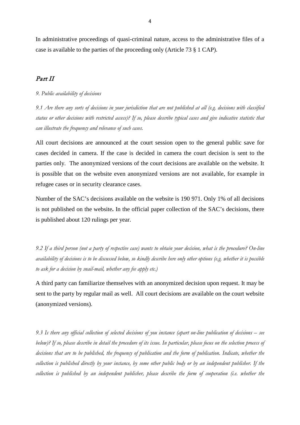In administrative proceedings of quasi-criminal nature, access to the administrative files of a case is available to the parties of the proceeding only (Article 73 § 1 CAP).

### Part II

#### *9. Public availability of decisions*

*9.1 Are there any sorts of decisions in your jurisdiction that are not published at all (e.g. decisions with classified status or other decisions with restricted access)? If so, please describe typical cases and give indicative statistic that can illustrate the frequency and relevance of such cases.* 

All court decisions are announced at the court session open to the general public save for cases decided in camera. If the case is decided in camera the court decision is sent to the parties only. The anonymized versions of the court decisions are available on the website. It is possible that on the website even anonymized versions are not available, for example in refugee cases or in security clearance cases.

Number of the SAC's decisions available on the website is 190 971. Only 1% of all decisions is not published on the website**.** In the official paper collection of the SAC's decisions, there is published about 120 rulings per year.

*9.2 If a third person (not a party of respective case) wants to obtain your decision, what is the procedure? On-line availability of decisions is to be discussed below, so kindly describe here only other options (e.g. whether it is possible to ask for a decision by snail-mail, whether any fee apply etc.)*

A third party can familiarize themselves with an anonymized decision upon request. It may be sent to the party by regular mail as well. All court decisions are available on the court website (anonymized versions).

*9.3 Is there any official collection of selected decisions of you instance (apart on-line publication of decisions – see below)? If so, please describe in detail the procedure of its issue. In particular, please focus on the selection process of decisions that are to be published, the frequency of publication and the form of publication. Indicate, whether the collection is published directly by your instance, by some other public body or by an independent publisher. If the collection is published by an independent publisher, please describe the form of cooperation (i.e. whether the*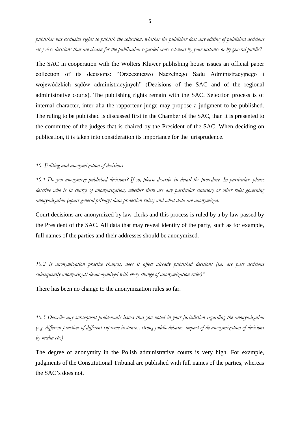*publisher has exclusive rights to publish the collection, whether the publisher does any editing of published decisions etc.) Are decisions that are chosen for the publication regarded more relevant by your instance or by general public?*

The SAC in cooperation with the Wolters Kluwer publishing house issues an official paper collection of its decisions: "Orzecznictwo Naczelnego Sądu Administracyjnego i wojewódzkich sądów administracyjnych" (Decisions of the SAC and of the regional administrative courts). The publishing rights remain with the SAC. Selection process is of internal character, inter alia the rapporteur judge may propose a judgment to be published. The ruling to be published is discussed first in the Chamber of the SAC, than it is presented to the committee of the judges that is chaired by the President of the SAC. When deciding on publication, it is taken into consideration its importance for the jurisprudence.

#### *10. Editing and anonymization of decisions*

*10.1 Do you anonymize published decisions? If so, please describe in detail the procedure. In particular, please describe who is in charge of anonymization, whether there are any particular statutory or other rules governing anonymization (apart general privacy/data protection rules) and what data are anonymized.*

Court decisions are anonymized by law clerks and this process is ruled by a by-law passed by the President of the SAC. All data that may reveal identity of the party, such as for example, full names of the parties and their addresses should be anonymized.

*10.2 If anonymization practice changes, does it affect already published decisions (i.e. are past decisions subsequently anonymized/de-anonymized with every change of anonymization rules)?*

There has been no change to the anonymization rules so far.

*10.3 Describe any subsequent problematic issues that you noted in your jurisdiction regarding the anonymization (e.g. different practices of different supreme instances, strong public debates, impact of de-anonymization of decisions by media etc.)*

The degree of anonymity in the Polish administrative courts is very high. For example, judgments of the Constitutional Tribunal are published with full names of the parties, whereas the SAC's does not.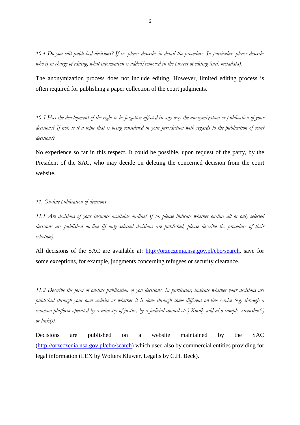*10.4 Do you edit published decisions? If so, please describe in detail the procedure. In particular, please describe who is in charge of editing, what information is added/removed in the process of editing (incl. metadata).*

The anonymization process does not include editing. However, limited editing process is often required for publishing a paper collection of the court judgments.

*10.5 Has the development of the right to be forgotten affected in any way the anonymization or publication of your decisions? If not, is it a topic that is being considered in your jurisdiction with regards to the publication of court decisions?*

No experience so far in this respect. It could be possible, upon request of the party, by the President of the SAC, who may decide on deleting the concerned decision from the court website.

#### *11. On-line publication of decisions*

*11.1 Are decisions of your instance available on-line? If so, please indicate whether on-line all or only selected decisions are published on-line (if only selected decisions are published, please describe the procedure of their selection).*

All decisions of the SAC are available at: [http://orzeczenia.nsa.gov.pl/cbo/search,](http://orzeczenia.nsa.gov.pl/cbo/search) save for some exceptions, for example, judgments concerning refugees or security clearance.

*11.2 Describe the form of on-line publication of you decisions. In particular, indicate whether your decisions are published through your own website or whether it is done through some different on-line service (e.g. through a common platform operated by a ministry of justice, by a judicial council etc.) Kindly add also sample screenshot(s) or link(s).*

Decisions are published on a website maintained by the SAC [\(http://orzeczenia.nsa.gov.pl/cbo/search\)](http://orzeczenia.nsa.gov.pl/cbo/search) which used also by commercial entities providing for legal information (LEX by Wolters Kluwer, Legalis by C.H. Beck).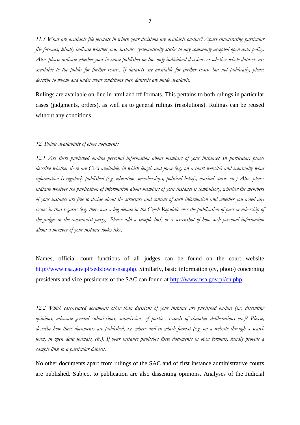*11.3 What are available file formats in which your decisions are available on-line? Apart enumerating particular file formats, kindly indicate whether your instance systematically sticks to any commonly accepted open data policy. Also, please indicate whether your instance publishes on-line only individual decisions or whether whole datasets are available to the public for further re-use. If datasets are available for further re-use but not publically, please describe to whom and under what conditions such datasets are made available.*

Rulings are available on-line in html and rtf formats. This pertains to both rulings in particular cases (judgments, orders), as well as to general rulings (resolutions). Rulings can be reused without any conditions.

#### *12. Public availability of other documents*

*12.1 Are there published on-line personal information about members of your instance? In particular, please*  describe whether there are CVs available, in which length and form (e.g. on a court website) and eventually what *information is regularly published (e.g. education, memberships, political beliefs, marital status etc.) Also, please indicate whether the publication of information about members of your instance is compulsory, whether the members of your instance are free to decide about the structure and content of such information and whether you noted any*  issues in that regards (e.g. there was a big debate in the Czech Republic over the publication of past membership of *the judges in the communist party). Please add a sample link or a screenshot of how such personal information about a member of your instance looks like.*

Names, official court functions of all judges can be found on the court website [http://www.nsa.gov.pl/sedziowie-nsa.php.](http://www.nsa.gov.pl/sedziowie-nsa.php) Similarly, basic information (cv, photo) concerning presidents and vice-presidents of the SAC can found at [http://www.nsa.gov.pl/en.php.](http://www.nsa.gov.pl/en.php)

*12.2 Which case-related documents other than decisions of your instance are published on-line (e.g. dissenting opinions, advocate general submissions, submissions of parties, records of chamber deliberations etc.)? Please, describe how these documents are published, i.e. where and in which format (e.g. on a website through a search form, in open data formats, etc.). If your instance publishes these documents in open formats, kindly provide a sample link to a particular dataset.*

No other documents apart from rulings of the SAC and of first instance administrative courts are published. Subject to publication are also dissenting opinions. Analyses of the Judicial